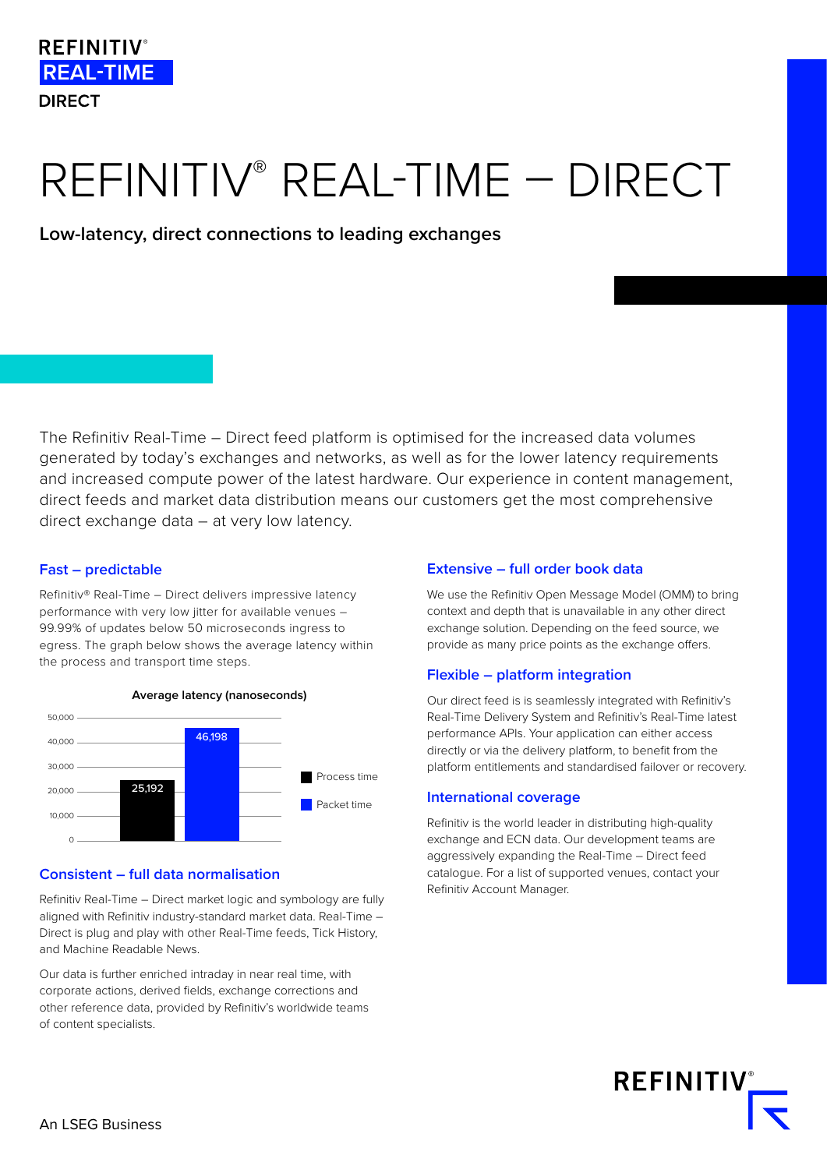## **REFINITIV**<sup>®</sup> **REAL-TIME DIRECT**

# REFINITIV® REAL-TIME – DIRECT

**Low-latency, direct connections to leading exchanges**

The Refinitiv Real-Time – Direct feed platform is optimised for the increased data volumes generated by today's exchanges and networks, as well as for the lower latency requirements and increased compute power of the latest hardware. Our experience in content management, direct feeds and market data distribution means our customers get the most comprehensive direct exchange data – at very low latency.

#### **Fast – predictable**

Refinitiv® Real-Time – Direct delivers impressive latency performance with very low jitter for available venues – 99.99% of updates below 50 microseconds ingress to egress. The graph below shows the average latency within the process and transport time steps.



#### **Average latency (nanoseconds)**

#### **Consistent – full data normalisation**

Refinitiv Real-Time – Direct market logic and symbology are fully aligned with Refinitiv industry-standard market data. Real-Time – Direct is plug and play with other Real-Time feeds, Tick History, and Machine Readable News.

Our data is further enriched intraday in near real time, with corporate actions, derived fields, exchange corrections and other reference data, provided by Refinitiv's worldwide teams of content specialists.

#### **Extensive – full order book data**

We use the Refinitiv Open Message Model (OMM) to bring context and depth that is unavailable in any other direct exchange solution. Depending on the feed source, we provide as many price points as the exchange offers.

#### **Flexible – platform integration**

Our direct feed is is seamlessly integrated with Refinitiv's Real-Time Delivery System and Refinitiv's Real-Time latest performance APIs. Your application can either access directly or via the delivery platform, to benefit from the platform entitlements and standardised failover or recovery.

#### **International coverage**

Refinitiv is the world leader in distributing high-quality exchange and ECN data. Our development teams are aggressively expanding the Real-Time – Direct feed catalogue. For a list of supported venues, contact your Refinitiv Account Manager.